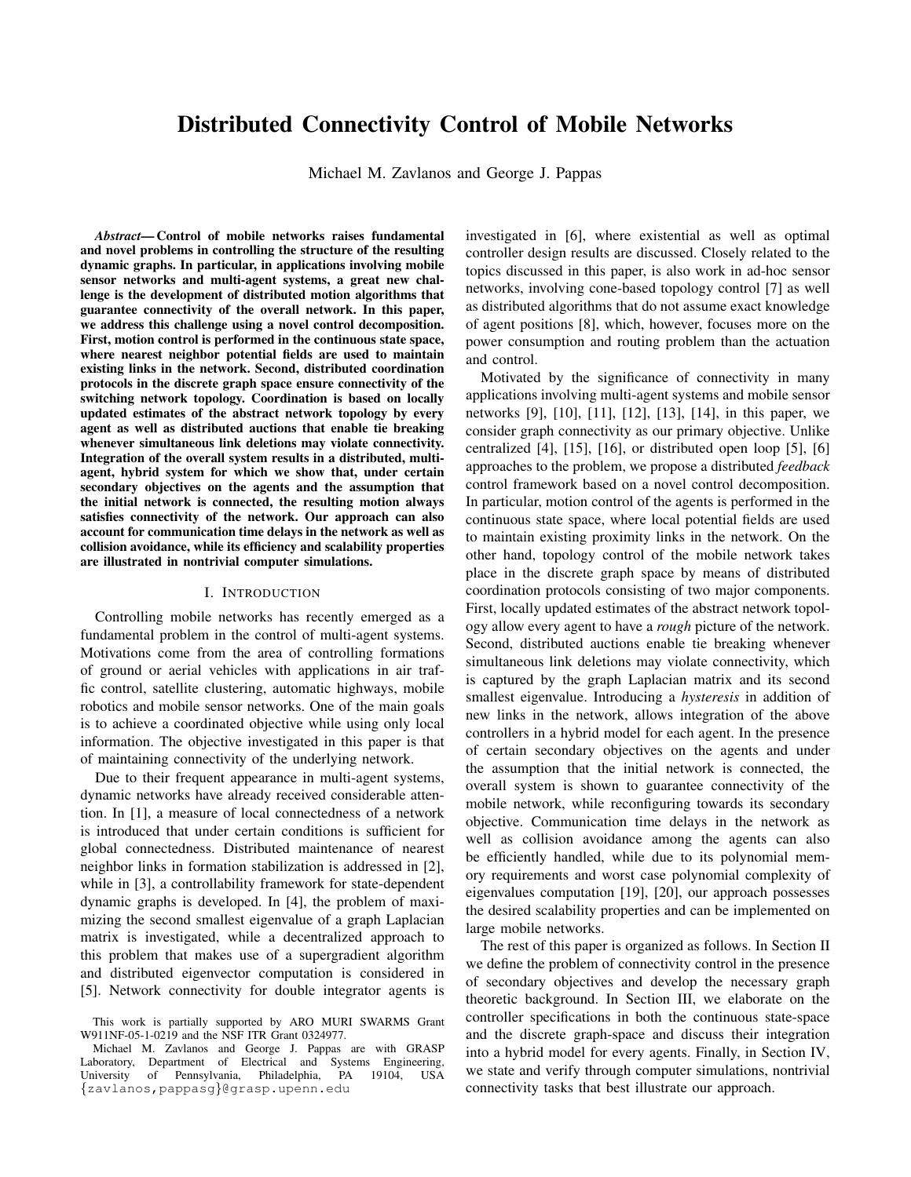# Distributed Connectivity Control of Mobile Networks

Michael M. Zavlanos and George J. Pappas

*Abstract*— Control of mobile networks raises fundamental and novel problems in controlling the structure of the resulting dynamic graphs. In particular, in applications involving mobile sensor networks and multi-agent systems, a great new challenge is the development of distributed motion algorithms that guarantee connectivity of the overall network. In this paper, we address this challenge using a novel control decomposition. First, motion control is performed in the continuous state space, where nearest neighbor potential fields are used to maintain existing links in the network. Second, distributed coordination protocols in the discrete graph space ensure connectivity of the switching network topology. Coordination is based on locally updated estimates of the abstract network topology by every agent as well as distributed auctions that enable tie breaking whenever simultaneous link deletions may violate connectivity. Integration of the overall system results in a distributed, multiagent, hybrid system for which we show that, under certain secondary objectives on the agents and the assumption that the initial network is connected, the resulting motion always satisfies connectivity of the network. Our approach can also account for communication time delays in the network as well as collision avoidance, while its efficiency and scalability properties are illustrated in nontrivial computer simulations.

# I. INTRODUCTION

Controlling mobile networks has recently emerged as a fundamental problem in the control of multi-agent systems. Motivations come from the area of controlling formations of ground or aerial vehicles with applications in air traffic control, satellite clustering, automatic highways, mobile robotics and mobile sensor networks. One of the main goals is to achieve a coordinated objective while using only local information. The objective investigated in this paper is that of maintaining connectivity of the underlying network.

Due to their frequent appearance in multi-agent systems, dynamic networks have already received considerable attention. In [1], a measure of local connectedness of a network is introduced that under certain conditions is sufficient for global connectedness. Distributed maintenance of nearest neighbor links in formation stabilization is addressed in [2], while in [3], a controllability framework for state-dependent dynamic graphs is developed. In [4], the problem of maximizing the second smallest eigenvalue of a graph Laplacian matrix is investigated, while a decentralized approach to this problem that makes use of a supergradient algorithm and distributed eigenvector computation is considered in [5]. Network connectivity for double integrator agents is

investigated in [6], where existential as well as optimal controller design results are discussed. Closely related to the topics discussed in this paper, is also work in ad-hoc sensor networks, involving cone-based topology control [7] as well as distributed algorithms that do not assume exact knowledge of agent positions [8], which, however, focuses more on the power consumption and routing problem than the actuation and control.

Motivated by the significance of connectivity in many applications involving multi-agent systems and mobile sensor networks [9], [10], [11], [12], [13], [14], in this paper, we consider graph connectivity as our primary objective. Unlike centralized [4], [15], [16], or distributed open loop [5], [6] approaches to the problem, we propose a distributed *feedback* control framework based on a novel control decomposition. In particular, motion control of the agents is performed in the continuous state space, where local potential fields are used to maintain existing proximity links in the network. On the other hand, topology control of the mobile network takes place in the discrete graph space by means of distributed coordination protocols consisting of two major components. First, locally updated estimates of the abstract network topology allow every agent to have a *rough* picture of the network. Second, distributed auctions enable tie breaking whenever simultaneous link deletions may violate connectivity, which is captured by the graph Laplacian matrix and its second smallest eigenvalue. Introducing a *hysteresis* in addition of new links in the network, allows integration of the above controllers in a hybrid model for each agent. In the presence of certain secondary objectives on the agents and under the assumption that the initial network is connected, the overall system is shown to guarantee connectivity of the mobile network, while reconfiguring towards its secondary objective. Communication time delays in the network as well as collision avoidance among the agents can also be efficiently handled, while due to its polynomial memory requirements and worst case polynomial complexity of eigenvalues computation [19], [20], our approach possesses the desired scalability properties and can be implemented on large mobile networks.

The rest of this paper is organized as follows. In Section II we define the problem of connectivity control in the presence of secondary objectives and develop the necessary graph theoretic background. In Section III, we elaborate on the controller specifications in both the continuous state-space and the discrete graph-space and discuss their integration into a hybrid model for every agents. Finally, in Section IV, we state and verify through computer simulations, nontrivial connectivity tasks that best illustrate our approach.

This work is partially supported by ARO MURI SWARMS Grant W911NF-05-1-0219 and the NSF ITR Grant 0324977.

Michael M. Zavlanos and George J. Pappas are with GRASP Laboratory, Department of Electrical and Systems Engineering, University of Pennsylvania, Philadelphia, PA 19104, USA {zavlanos,pappasg}@grasp.upenn.edu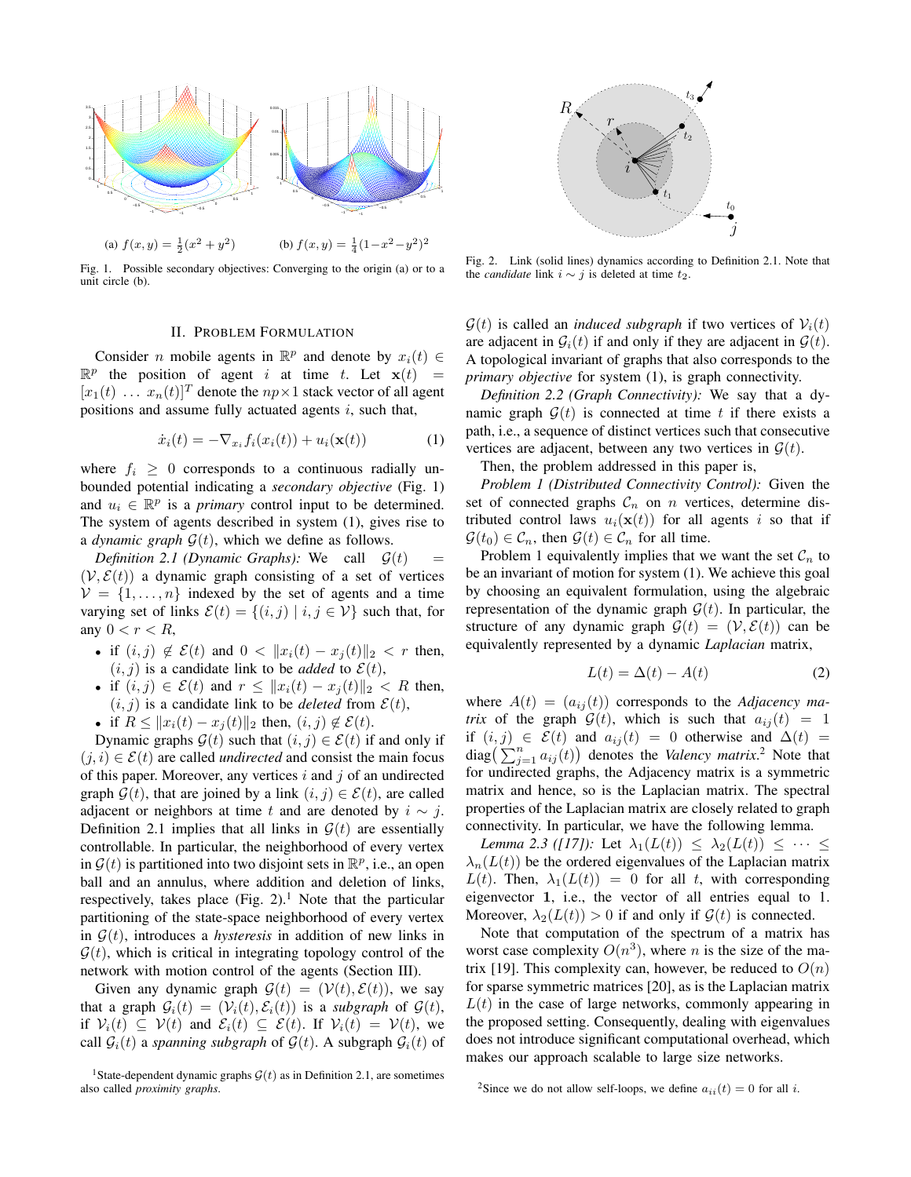

Fig. 1. Possible secondary objectives: Converging to the origin (a) or to a unit circle (b).

#### II. PROBLEM FORMULATION

Consider *n* mobile agents in  $\mathbb{R}^p$  and denote by  $x_i(t) \in$  $\mathbb{R}^p$  the position of agent i at time t. Let  $\mathbf{x}(t)$  =  $[x_1(t) \dots x_n(t)]^T$  denote the  $np \times 1$  stack vector of all agent positions and assume fully actuated agents  $i$ , such that,

$$
\dot{x}_i(t) = -\nabla_{x_i} f_i(x_i(t)) + u_i(\mathbf{x}(t))\tag{1}
$$

where  $f_i \geq 0$  corresponds to a continuous radially unbounded potential indicating a *secondary objective* (Fig. 1) and  $u_i \in \mathbb{R}^p$  is a *primary* control input to be determined. The system of agents described in system (1), gives rise to a *dynamic graph*  $G(t)$ , which we define as follows.

*Definition 2.1 (Dynamic Graphs):* We call  $G(t)$  $(V, \mathcal{E}(t))$  a dynamic graph consisting of a set of vertices  $V = \{1, \ldots, n\}$  indexed by the set of agents and a time varying set of links  $\mathcal{E}(t) = \{(i, j) | i, j \in \mathcal{V}\}\$  such that, for any  $0 < r < R$ ,

- if  $(i, j) \notin \mathcal{E}(t)$  and  $0 < ||x_i(t) x_j(t)||_2 < r$  then,  $(i, j)$  is a candidate link to be *added* to  $\mathcal{E}(t)$ ,
- if  $(i, j) \in \mathcal{E}(t)$  and  $r \leq ||x_i(t) x_j(t)||_2 < R$  then,  $(i, j)$  is a candidate link to be *deleted* from  $\mathcal{E}(t)$ ,
- if  $R \leq ||x_i(t) x_j(t)||_2$  then,  $(i, j) \notin \mathcal{E}(t)$ .

Dynamic graphs  $\mathcal{G}(t)$  such that  $(i, j) \in \mathcal{E}(t)$  if and only if  $(j, i) \in \mathcal{E}(t)$  are called *undirected* and consist the main focus of this paper. Moreover, any vertices  $i$  and  $j$  of an undirected graph  $\mathcal{G}(t)$ , that are joined by a link  $(i, j) \in \mathcal{E}(t)$ , are called adjacent or neighbors at time t and are denoted by  $i \sim j$ . Definition 2.1 implies that all links in  $\mathcal{G}(t)$  are essentially controllable. In particular, the neighborhood of every vertex in  $\mathcal{G}(t)$  is partitioned into two disjoint sets in  $\mathbb{R}^p$ , i.e., an open ball and an annulus, where addition and deletion of links, respectively, takes place  $(Fig. 2)$ .<sup>1</sup> Note that the particular partitioning of the state-space neighborhood of every vertex in  $G(t)$ , introduces a *hysteresis* in addition of new links in  $\mathcal{G}(t)$ , which is critical in integrating topology control of the network with motion control of the agents (Section III).

Given any dynamic graph  $G(t) = (\mathcal{V}(t), \mathcal{E}(t))$ , we say that a graph  $G_i(t) = (\mathcal{V}_i(t), \mathcal{E}_i(t))$  is a *subgraph* of  $\mathcal{G}(t)$ , if  $V_i(t) \subseteq V(t)$  and  $\mathcal{E}_i(t) \subseteq \mathcal{E}(t)$ . If  $V_i(t) = V(t)$ , we call  $\mathcal{G}_i(t)$  a *spanning subgraph* of  $\mathcal{G}(t)$ . A subgraph  $\mathcal{G}_i(t)$  of



Fig. 2. Link (solid lines) dynamics according to Definition 2.1. Note that the *candidate* link  $i \sim j$  is deleted at time  $t_2$ .

 $G(t)$  is called an *induced subgraph* if two vertices of  $V_i(t)$ are adjacent in  $G_i(t)$  if and only if they are adjacent in  $\mathcal{G}(t)$ . A topological invariant of graphs that also corresponds to the *primary objective* for system (1), is graph connectivity.

*Definition 2.2 (Graph Connectivity):* We say that a dynamic graph  $G(t)$  is connected at time t if there exists a path, i.e., a sequence of distinct vertices such that consecutive vertices are adjacent, between any two vertices in  $\mathcal{G}(t)$ .

Then, the problem addressed in this paper is,

*Problem 1 (Distributed Connectivity Control):* Given the set of connected graphs  $C_n$  on n vertices, determine distributed control laws  $u_i(\mathbf{x}(t))$  for all agents i so that if  $\mathcal{G}(t_0) \in \mathcal{C}_n$ , then  $\mathcal{G}(t) \in \mathcal{C}_n$  for all time.

Problem 1 equivalently implies that we want the set  $\mathcal{C}_n$  to be an invariant of motion for system (1). We achieve this goal by choosing an equivalent formulation, using the algebraic representation of the dynamic graph  $\mathcal{G}(t)$ . In particular, the structure of any dynamic graph  $\mathcal{G}(t) = (\mathcal{V}, \mathcal{E}(t))$  can be equivalently represented by a dynamic *Laplacian* matrix,

$$
L(t) = \Delta(t) - A(t) \tag{2}
$$

where  $A(t) = (a_{ij}(t))$  corresponds to the *Adjacency matrix* of the graph  $G(t)$ , which is such that  $a_{ij}(t) = 1$ if  $(i, j) \in \mathcal{E}(t)$  and  $a_{ij}(t) = 0$  otherwise and  $\Delta(t) =$ <br>diag $\left(\sum_{j=1}^{n} a_{ij}(t)\right)$  denotes the *Valency matrix*.<sup>2</sup> Note that a<br>\ denotes the *Valency matrix*. <sup>2</sup> Note that for undirected graphs, the Adjacency matrix is a symmetric matrix and hence, so is the Laplacian matrix. The spectral properties of the Laplacian matrix are closely related to graph connectivity. In particular, we have the following lemma.

*Lemma 2.3 ([17]):* Let  $\lambda_1(L(t)) \leq \lambda_2(L(t)) \leq \cdots \leq$  $\lambda_n(L(t))$  be the ordered eigenvalues of the Laplacian matrix  $L(t)$ . Then,  $\lambda_1(L(t)) = 0$  for all t, with corresponding eigenvector 1, i.e., the vector of all entries equal to 1. Moreover,  $\lambda_2(L(t)) > 0$  if and only if  $\mathcal{G}(t)$  is connected.

Note that computation of the spectrum of a matrix has worst case complexity  $O(n^3)$ , where *n* is the size of the matrix [19]. This complexity can, however, be reduced to  $O(n)$ for sparse symmetric matrices [20], as is the Laplacian matrix  $L(t)$  in the case of large networks, commonly appearing in the proposed setting. Consequently, dealing with eigenvalues does not introduce significant computational overhead, which makes our approach scalable to large size networks.

<sup>&</sup>lt;sup>1</sup>State-dependent dynamic graphs  $\mathcal{G}(t)$  as in Definition 2.1, are sometimes also called *proximity graphs*.

<sup>&</sup>lt;sup>2</sup>Since we do not allow self-loops, we define  $a_{ii}(t) = 0$  for all *i*.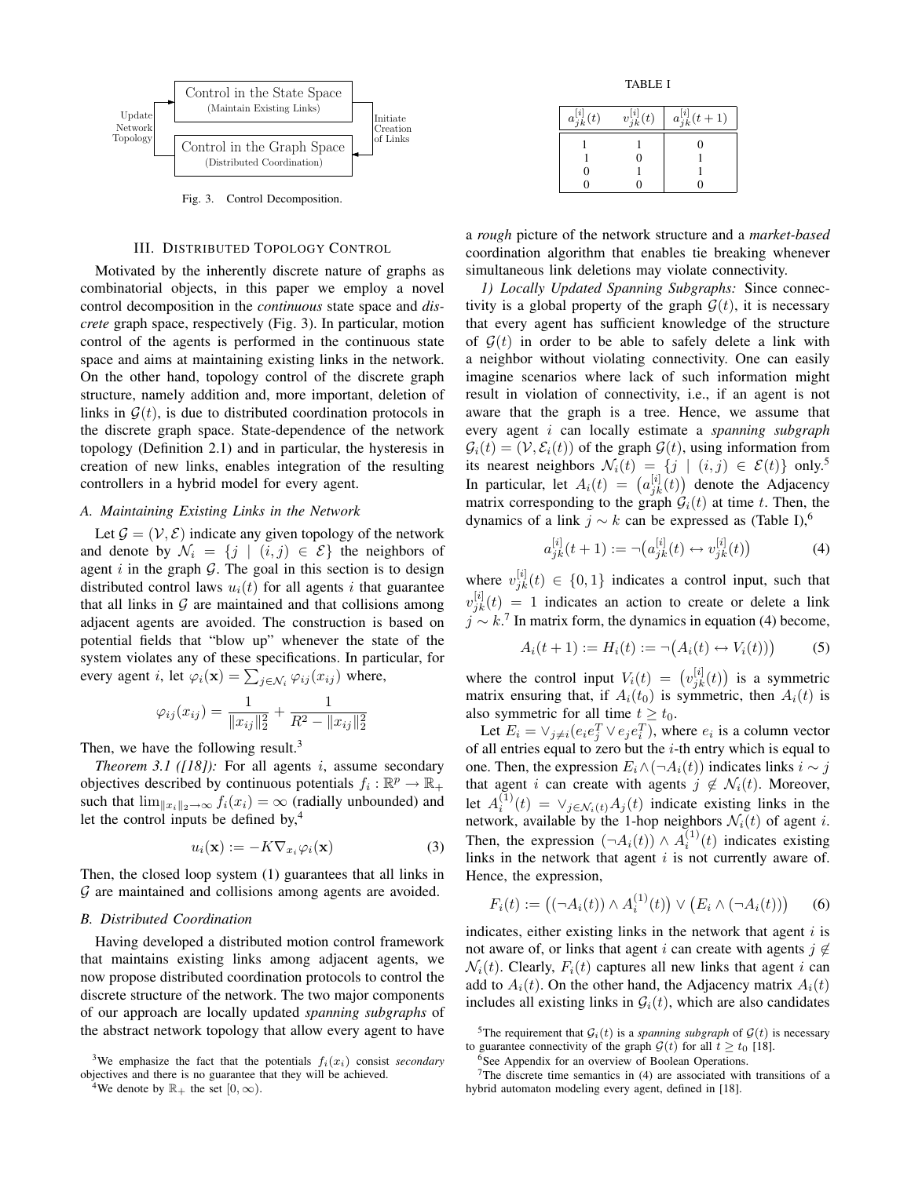

Fig. 3. Control Decomposition.

#### III. DISTRIBUTED TOPOLOGY CONTROL

Motivated by the inherently discrete nature of graphs as combinatorial objects, in this paper we employ a novel control decomposition in the *continuous* state space and *discrete* graph space, respectively (Fig. 3). In particular, motion control of the agents is performed in the continuous state space and aims at maintaining existing links in the network. On the other hand, topology control of the discrete graph structure, namely addition and, more important, deletion of links in  $\mathcal{G}(t)$ , is due to distributed coordination protocols in the discrete graph space. State-dependence of the network topology (Definition 2.1) and in particular, the hysteresis in creation of new links, enables integration of the resulting controllers in a hybrid model for every agent.

#### *A. Maintaining Existing Links in the Network*

Let  $\mathcal{G} = (\mathcal{V}, \mathcal{E})$  indicate any given topology of the network and denote by  $\mathcal{N}_i = \{j \mid (i,j) \in \mathcal{E}\}\$  the neighbors of agent  $i$  in the graph  $G$ . The goal in this section is to design distributed control laws  $u_i(t)$  for all agents i that guarantee that all links in  $G$  are maintained and that collisions among adjacent agents are avoided. The construction is based on potential fields that "blow up" whenever the state of the system violates any of these specifications. In particular, for system violates any of these specifications. In part every agent *i*, let  $\varphi_i(\mathbf{x}) = \sum_{j \in \mathcal{N}_i} \varphi_{ij}(x_{ij})$  where,

$$
\varphi_{ij}(x_{ij}) = \frac{1}{\|x_{ij}\|_2^2} + \frac{1}{R^2 - \|x_{ij}\|_2^2}
$$

Then, we have the following result.<sup>3</sup>

*Theorem 3.1 ([18]):* For all agents *i*, assume secondary objectives described by continuous potentials  $f_i : \mathbb{R}^p \to \mathbb{R}_+$ such that  $\lim_{\|x_i\|_2\to\infty} f_i(x_i) = \infty$  (radially unbounded) and let the control inputs be defined by, $4$ 

$$
u_i(\mathbf{x}) := -K \nabla_{x_i} \varphi_i(\mathbf{x}) \tag{3}
$$

Then, the closed loop system (1) guarantees that all links in G are maintained and collisions among agents are avoided.

# *B. Distributed Coordination*

Having developed a distributed motion control framework that maintains existing links among adjacent agents, we now propose distributed coordination protocols to control the discrete structure of the network. The two major components of our approach are locally updated *spanning subgraphs* of the abstract network topology that allow every agent to have

<sup>4</sup>We denote by  $\mathbb{R}_+$  the set  $[0, \infty)$ .

TABLE I

| $a_{jk}^{[i]}(t)$ | $v_{jk}^{\left[ i\right] }(t)$ | $a_{jk}^{[i]}(t+1)$ |
|-------------------|--------------------------------|---------------------|
|                   |                                | $\mathbf{\Omega}$   |
|                   |                                |                     |
| 0                 |                                |                     |
|                   |                                |                     |

a *rough* picture of the network structure and a *market-based* coordination algorithm that enables tie breaking whenever simultaneous link deletions may violate connectivity.

*1) Locally Updated Spanning Subgraphs:* Since connectivity is a global property of the graph  $\mathcal{G}(t)$ , it is necessary that every agent has sufficient knowledge of the structure of  $G(t)$  in order to be able to safely delete a link with a neighbor without violating connectivity. One can easily imagine scenarios where lack of such information might result in violation of connectivity, i.e., if an agent is not aware that the graph is a tree. Hence, we assume that every agent i can locally estimate a *spanning subgraph*  $G_i(t) = (V, \mathcal{E}_i(t))$  of the graph  $\mathcal{G}(t)$ , using information from its nearest neighbors  $\mathcal{N}_i(t) = \{j \mid (i,j) \in \mathcal{E}(t)\}\$ only.<sup>5</sup> In particular, let  $A_i(t) = \left( a_{jk}^{[i]}(t) \right)$ ¢ denote the Adjacency matrix corresponding to the graph  $G_i(t)$  at time t. Then, the dynamics of a link  $j \sim k$  can be expressed as (Table I),<sup>6</sup>

$$
a_{jk}^{[i]}(t+1) := \neg (a_{jk}^{[i]}(t) \leftrightarrow v_{jk}^{[i]}(t))
$$
 (4)

where  $v_{jk}^{[i]}(t) \in \{0,1\}$  indicates a control input, such that  $v_{jk}^{[i]}(t) = 1$  indicates an action to create or delete a link  $j \sim k$ .<sup>7</sup> In matrix form, the dynamics in equation (4) become,

$$
A_i(t+1) := H_i(t) := \neg (A_i(t) \leftrightarrow V_i(t)) \tag{5}
$$

where the control input  $V_i(t) = (v_{jk}^{[i]}(t))$ ¢ is a symmetric matrix ensuring that, if  $A_i(t_0)$  is symmetric, then  $A_i(t)$  is also symmetric for all time  $t \geq t_0$ .

Let  $E_i = \vee_{j \neq i} (e_i e_j^T \vee e_j e_i^T)$ , where  $e_i$  is a column vector of all entries equal to zero but the  $i$ -th entry which is equal to one. Then, the expression  $E_i \wedge (\neg A_i(t))$  indicates links  $i \sim j$ that agent *i* can create with agents  $j \notin \mathcal{N}_i(t)$ . Moreover, let  $A_i^{(1)}(t) = \vee_{j \in \mathcal{N}_i(t)} A_j(t)$  indicate existing links in the network, available by the 1-hop neighbors  $\mathcal{N}_i(t)$  of agent i. Then, the expression  $(\neg A_i(t)) \wedge A_i^{(1)}(t)$  indicates existing links in the network that agent  $i$  is not currently aware of. Hence, the expression,

$$
F_i(t) := \left( (\neg A_i(t)) \land A_i^{(1)}(t) \right) \lor \left( E_i \land (\neg A_i(t)) \right) \tag{6}
$$

indicates, either existing links in the network that agent  $i$  is not aware of, or links that agent i can create with agents  $j \notin \mathbb{C}$  $\mathcal{N}_i(t)$ . Clearly,  $F_i(t)$  captures all new links that agent i can add to  $A_i(t)$ . On the other hand, the Adjacency matrix  $A_i(t)$ includes all existing links in  $G_i(t)$ , which are also candidates

<sup>&</sup>lt;sup>3</sup>We emphasize the fact that the potentials  $f_i(x_i)$  consist *secondary* objectives and there is no guarantee that they will be achieved.

<sup>&</sup>lt;sup>5</sup>The requirement that  $G_i(t)$  is a *spanning subgraph* of  $G(t)$  is necessary to guarantee connectivity of the graph  $\mathcal{G}(t)$  for all  $t \geq t_0$  [18].

<sup>&</sup>lt;sup>6</sup>See Appendix for an overview of Boolean Operations.

<sup>&</sup>lt;sup>7</sup>The discrete time semantics in  $(4)$  are associated with transitions of a hybrid automaton modeling every agent, defined in [18].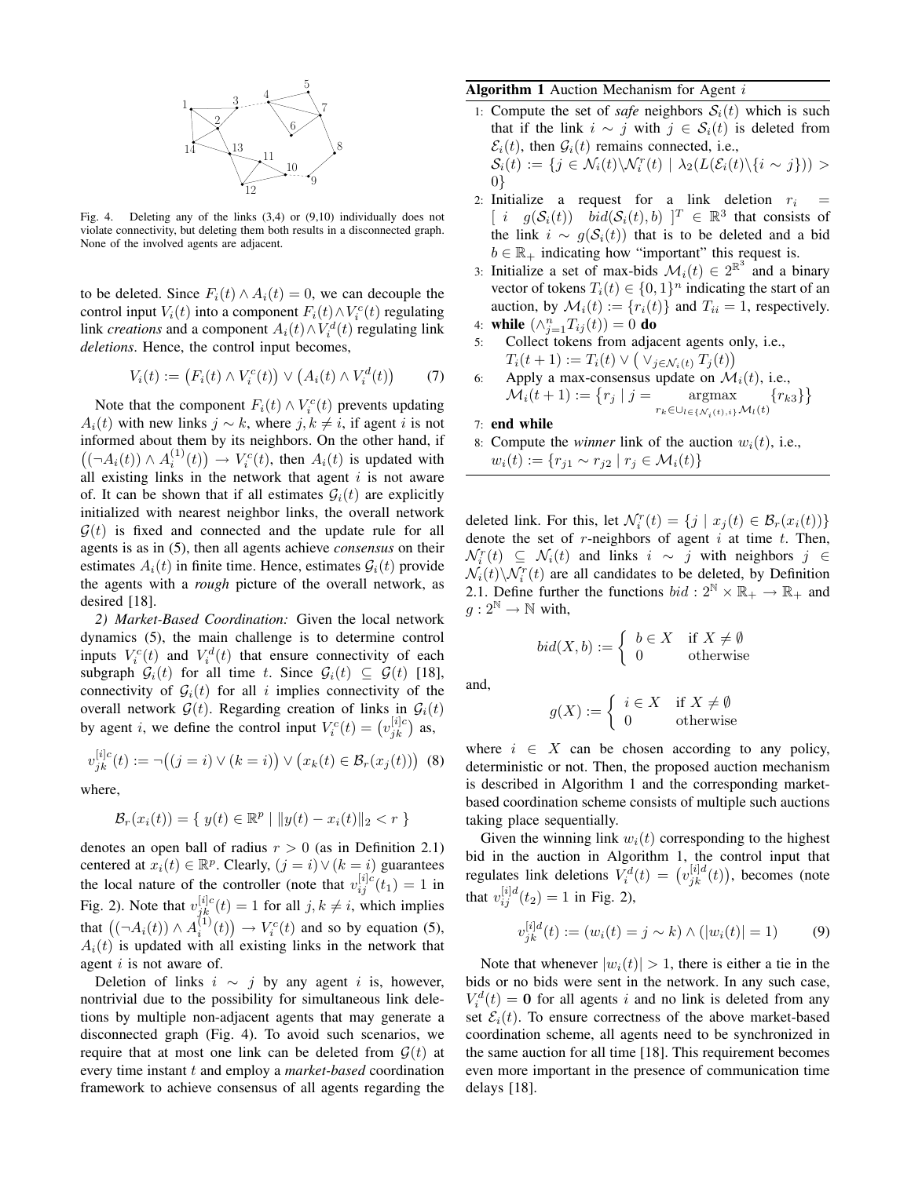

Fig. 4. Deleting any of the links (3,4) or (9,10) individually does not violate connectivity, but deleting them both results in a disconnected graph. None of the involved agents are adjacent.

to be deleted. Since  $F_i(t) \wedge A_i(t) = 0$ , we can decouple the control input  $V_i(t)$  into a component  $F_i(t) \wedge V_i^c(t)$  regulating link *creations* and a component  $A_i(t) \wedge V_i^d(t)$  regulating link *deletions*. Hence, the control input becomes,

$$
V_i(t) := (F_i(t) \wedge V_i^c(t)) \vee (A_i(t) \wedge V_i^d(t)) \qquad (7)
$$

Note that the component  $F_i(t) \wedge V_i^c(t)$  prevents updating  $A_i(t)$  with new links  $j \sim k$ , where  $j, k \neq i$ , if agent i is not informed about them by its neighbors. On the other hand, if  $(\neg A_i(t)) \wedge A_i^{(1)}(t) \rightarrow V_i^c(t)$ , then  $A_i(t)$  is updated with all existing links in the network that agent  $i$  is not aware of. It can be shown that if all estimates  $G_i(t)$  are explicitly initialized with nearest neighbor links, the overall network  $\mathcal{G}(t)$  is fixed and connected and the update rule for all agents is as in (5), then all agents achieve *consensus* on their estimates  $A_i(t)$  in finite time. Hence, estimates  $G_i(t)$  provide the agents with a *rough* picture of the overall network, as desired [18].

*2) Market-Based Coordination:* Given the local network dynamics (5), the main challenge is to determine control inputs  $V_i^c(t)$  and  $V_i^d(t)$  that ensure connectivity of each subgraph  $G_i(t)$  for all time t. Since  $G_i(t) \subseteq G(t)$  [18], connectivity of  $G_i(t)$  for all i implies connectivity of the overall network  $G(t)$ . Regarding creation of links in  $G_i(t)$ by agent *i*, we define the control input  $V_i^c(t) = (v_{jk}^{[i]c})$  as,

$$
v_{jk}^{[i]c}(t) := \neg((j = i) \lor (k = i)) \lor (x_k(t) \in \mathcal{B}_r(x_j(t))) \tag{8}
$$

where,

$$
\mathcal{B}_r(x_i(t)) = \{ y(t) \in \mathbb{R}^p \mid ||y(t) - x_i(t)||_2 < r \}
$$

denotes an open ball of radius  $r > 0$  (as in Definition 2.1) centered at  $x_i(t) \in \mathbb{R}^p$ . Clearly,  $(j = i) \vee (k = i)$  guarantees the local nature of the controller (note that  $v_{ij}^{[i]c}(t_1) = 1$  in Fig. 2). Note that  $v_{jk}^{[i]c}(t) = 1$  for all  $j, k \neq i$ , which implies that  $((\neg A_i(t)) \land A_i^{(1)}(t)) \rightarrow V_i^c(t)$  and so by equation (5), ∫<br>∖  $\rightarrow V_i^c(t)$  and so by equation (5),  $A_i(t)$  is updated with all existing links in the network that agent *i* is not aware of.

Deletion of links  $i \sim j$  by any agent i is, however, nontrivial due to the possibility for simultaneous link deletions by multiple non-adjacent agents that may generate a disconnected graph (Fig. 4). To avoid such scenarios, we require that at most one link can be deleted from  $\mathcal{G}(t)$  at every time instant t and employ a *market-based* coordination framework to achieve consensus of all agents regarding the

# **Algorithm 1** Auction Mechanism for Agent  $i$

- 1: Compute the set of *safe* neighbors  $S_i(t)$  which is such that if the link  $i \sim j$  with  $j \in S_i(t)$  is deleted from  $\mathcal{E}_i(t)$ , then  $\mathcal{G}_i(t)$  remains connected, i.e.,  $S_i(t) := \{ j \in \mathcal{N}_i(t) \backslash \mathcal{N}_i^r(t) \mid \lambda_2(L(\mathcal{E}_i(t) \backslash \{i \sim j\})) >$ 0}
- 2: Initialize a request for a link deletion  $r_i$  =  $[i \quad g(S_i(t)) \quad bid(S_i(t), b)]^T \in \mathbb{R}^3$  that consists of the link  $i \sim q(S_i(t))$  that is to be deleted and a bid  $b \in \mathbb{R}_+$  indicating how "important" this request is.
- 3: Initialize a set of max-bids  $\mathcal{M}_i(t) \in 2^{\mathbb{R}^3}$  and a binary vector of tokens  $T_i(t) \in \{0,1\}^n$  indicating the start of an auction, by  $\mathcal{M}_i(t) := \{r_i(t)\}\$ and  $T_{ii} = 1$ , respectively. 4: while  $(\wedge_{j=1}^{n} T_{ij}(t)) = 0$  do
- 5: Collect tokens from adjacent agents only, i.e.,  $T_i(t+1) := T_i(t) \vee (\vee_{j \in \mathcal{N}_i(t)} T_j(t))$
- 6: Apply a max-consensus update on  $\mathcal{M}_i(t)$ , i.e., Apply a max-consensus update on  $M_i$ <br> $M_i(t+1) := \{r_j \mid j = \text{argmax}\}$  $r_k \in \cup_{l \in \{\mathcal{N}_i(t),i\}} \mathcal{M}_l(t)$  ${r_{k3}}$ ª
- 7: end while
- 8: Compute the *winner* link of the auction  $w_i(t)$ , i.e.,  $w_i(t) := \{r_{i1} \sim r_{i2} \mid r_i \in \mathcal{M}_i(t)\}\$

deleted link. For this, let  $\mathcal{N}_i^r(t) = \{j \mid x_j(t) \in \mathcal{B}_r(x_i(t))\}$ denote the set of r-neighbors of agent  $i$  at time  $t$ . Then,  $\mathcal{N}_i^r(t) \subseteq \mathcal{N}_i(t)$  and links  $i \sim j$  with neighbors  $j \in$  $\mathcal{N}_i(t)\backslash \mathcal{N}_i^r(t)$  are all candidates to be deleted, by Definition 2.1. Define further the functions  $bid: 2^{\mathbb{N}} \times \mathbb{R}_{+} \to \mathbb{R}_{+}$  and  $q: 2^{\mathbb{N}} \to \mathbb{N}$  with,

$$
bid(X, b) := \begin{cases} b \in X & \text{if } X \neq \emptyset \\ 0 & \text{otherwise} \end{cases}
$$

and,

$$
g(X) := \begin{cases} i \in X & \text{if } X \neq \emptyset \\ 0 & \text{otherwise} \end{cases}
$$

where  $i \in X$  can be chosen according to any policy, deterministic or not. Then, the proposed auction mechanism is described in Algorithm 1 and the corresponding marketbased coordination scheme consists of multiple such auctions taking place sequentially.

Given the winning link  $w_i(t)$  corresponding to the highest bid in the auction in Algorithm 1, the control input that bid in the auction in Algorium 1, the contract the explanation  $V_i^d(t) = (v_{jk}^{[i]d}(t))$ ¤<br>∖ , becomes (note that  $v_{ij}^{[i]d}(t_2) = 1$  in Fig. 2),

$$
v_{jk}^{[i]d}(t) := (w_i(t) = j \sim k) \land (|w_i(t)| = 1)
$$
 (9)

Note that whenever  $|w_i(t)| > 1$ , there is either a tie in the bids or no bids were sent in the network. In any such case,  $V_i^d(t) = 0$  for all agents i and no link is deleted from any set  $\mathcal{E}_i(t)$ . To ensure correctness of the above market-based coordination scheme, all agents need to be synchronized in the same auction for all time [18]. This requirement becomes even more important in the presence of communication time delays [18].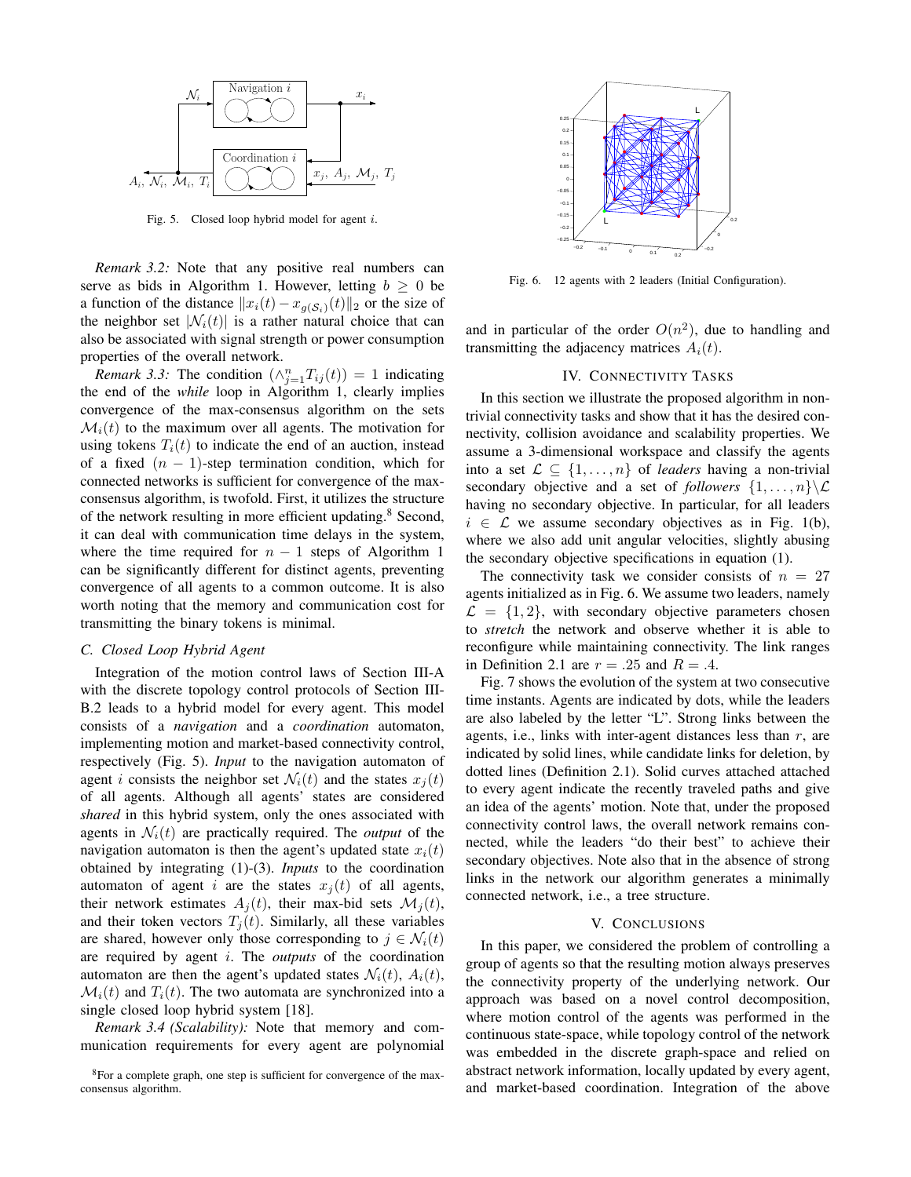

Fig. 5. Closed loop hybrid model for agent i.

*Remark 3.2:* Note that any positive real numbers can serve as bids in Algorithm 1. However, letting  $b \geq 0$  be a function of the distance  $||x_i(t) - x_{g(S_i)}(t)||_2$  or the size of the neighbor set  $|\mathcal{N}_i(t)|$  is a rather natural choice that can also be associated with signal strength or power consumption properties of the overall network.

*Remark 3.3:* The condition  $(\wedge_{j=1}^{n} T_{ij}(t)) = 1$  indicating the end of the *while* loop in Algorithm 1, clearly implies convergence of the max-consensus algorithm on the sets  $\mathcal{M}_i(t)$  to the maximum over all agents. The motivation for using tokens  $T_i(t)$  to indicate the end of an auction, instead of a fixed  $(n - 1)$ -step termination condition, which for connected networks is sufficient for convergence of the maxconsensus algorithm, is twofold. First, it utilizes the structure of the network resulting in more efficient updating.<sup>8</sup> Second, it can deal with communication time delays in the system, where the time required for  $n - 1$  steps of Algorithm 1 can be significantly different for distinct agents, preventing convergence of all agents to a common outcome. It is also worth noting that the memory and communication cost for transmitting the binary tokens is minimal.

### *C. Closed Loop Hybrid Agent*

Integration of the motion control laws of Section III-A with the discrete topology control protocols of Section III-B.2 leads to a hybrid model for every agent. This model consists of a *navigation* and a *coordination* automaton, implementing motion and market-based connectivity control, respectively (Fig. 5). *Input* to the navigation automaton of agent i consists the neighbor set  $\mathcal{N}_i(t)$  and the states  $x_i(t)$ of all agents. Although all agents' states are considered *shared* in this hybrid system, only the ones associated with agents in  $\mathcal{N}_i(t)$  are practically required. The *output* of the navigation automaton is then the agent's updated state  $x_i(t)$ obtained by integrating (1)-(3). *Inputs* to the coordination automaton of agent i are the states  $x_i(t)$  of all agents, their network estimates  $A_j(t)$ , their max-bid sets  $\mathcal{M}_j(t)$ , and their token vectors  $T_i(t)$ . Similarly, all these variables are shared, however only those corresponding to  $j \in \mathcal{N}_i(t)$ are required by agent i. The *outputs* of the coordination automaton are then the agent's updated states  $\mathcal{N}_i(t)$ ,  $A_i(t)$ ,  $\mathcal{M}_i(t)$  and  $T_i(t)$ . The two automata are synchronized into a single closed loop hybrid system [18].

*Remark 3.4 (Scalability):* Note that memory and communication requirements for every agent are polynomial



Fig. 6. 12 agents with 2 leaders (Initial Configuration).

and in particular of the order  $O(n^2)$ , due to handling and transmitting the adjacency matrices  $A_i(t)$ .

### IV. CONNECTIVITY TASKS

In this section we illustrate the proposed algorithm in nontrivial connectivity tasks and show that it has the desired connectivity, collision avoidance and scalability properties. We assume a 3-dimensional workspace and classify the agents into a set  $\mathcal{L} \subseteq \{1, \ldots, n\}$  of *leaders* having a non-trivial secondary objective and a set of *followers*  $\{1, \ldots, n\} \backslash \mathcal{L}$ having no secondary objective. In particular, for all leaders  $i \in \mathcal{L}$  we assume secondary objectives as in Fig. 1(b), where we also add unit angular velocities, slightly abusing the secondary objective specifications in equation (1).

The connectivity task we consider consists of  $n = 27$ agents initialized as in Fig. 6. We assume two leaders, namely  $\mathcal{L} = \{1, 2\}$ , with secondary objective parameters chosen to *stretch* the network and observe whether it is able to reconfigure while maintaining connectivity. The link ranges in Definition 2.1 are  $r = .25$  and  $R = .4$ .

Fig. 7 shows the evolution of the system at two consecutive time instants. Agents are indicated by dots, while the leaders are also labeled by the letter "L". Strong links between the agents, i.e., links with inter-agent distances less than  $r$ , are indicated by solid lines, while candidate links for deletion, by dotted lines (Definition 2.1). Solid curves attached attached to every agent indicate the recently traveled paths and give an idea of the agents' motion. Note that, under the proposed connectivity control laws, the overall network remains connected, while the leaders "do their best" to achieve their secondary objectives. Note also that in the absence of strong links in the network our algorithm generates a minimally connected network, i.e., a tree structure.

# V. CONCLUSIONS

In this paper, we considered the problem of controlling a group of agents so that the resulting motion always preserves the connectivity property of the underlying network. Our approach was based on a novel control decomposition, where motion control of the agents was performed in the continuous state-space, while topology control of the network was embedded in the discrete graph-space and relied on abstract network information, locally updated by every agent, and market-based coordination. Integration of the above

<sup>8</sup>For a complete graph, one step is sufficient for convergence of the maxconsensus algorithm.